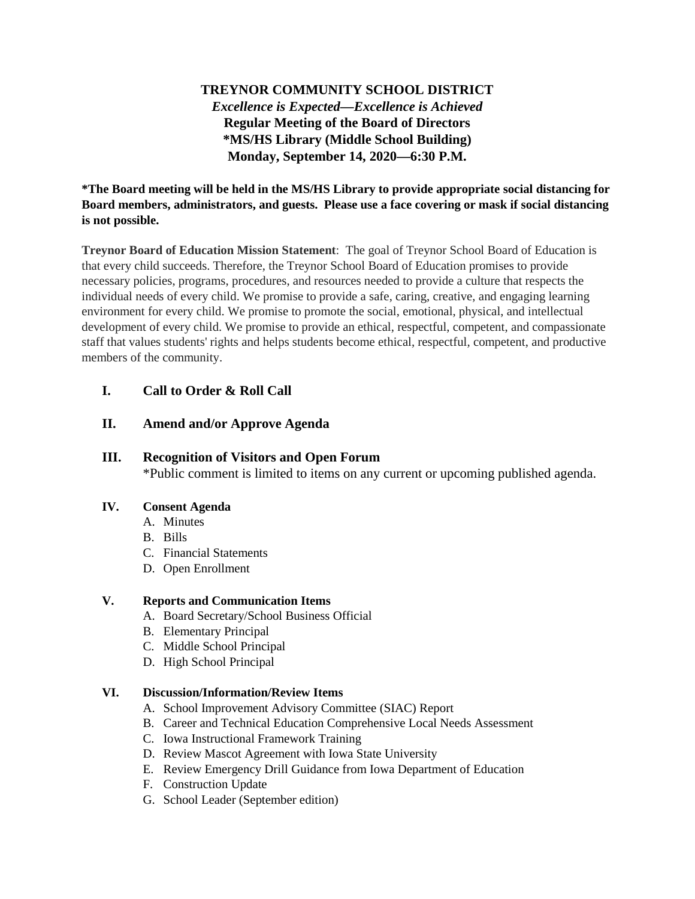# **TREYNOR COMMUNITY SCHOOL DISTRICT** *Excellence is Expected—Excellence is Achieved* **Regular Meeting of the Board of Directors \*MS/HS Library (Middle School Building) Monday, September 14, 2020—6:30 P.M.**

### **\*The Board meeting will be held in the MS/HS Library to provide appropriate social distancing for Board members, administrators, and guests. Please use a face covering or mask if social distancing is not possible.**

**Treynor Board of Education Mission Statement**: The goal of Treynor School Board of Education is that every child succeeds. Therefore, the Treynor School Board of Education promises to provide necessary policies, programs, procedures, and resources needed to provide a culture that respects the individual needs of every child. We promise to provide a safe, caring, creative, and engaging learning environment for every child. We promise to promote the social, emotional, physical, and intellectual development of every child. We promise to provide an ethical, respectful, competent, and compassionate staff that values students' rights and helps students become ethical, respectful, competent, and productive members of the community.

## **I. Call to Order & Roll Call**

## **II. Amend and/or Approve Agenda**

### **III. Recognition of Visitors and Open Forum**

\*Public comment is limited to items on any current or upcoming published agenda.

#### **IV. Consent Agenda**

- A. Minutes
- B. Bills
- C. Financial Statements
- D. Open Enrollment

#### **V. Reports and Communication Items**

- A. Board Secretary/School Business Official
- B. Elementary Principal
- C. Middle School Principal
- D. High School Principal

#### **VI. Discussion/Information/Review Items**

- A. School Improvement Advisory Committee (SIAC) Report
- B. Career and Technical Education Comprehensive Local Needs Assessment
- C. Iowa Instructional Framework Training
- D. Review Mascot Agreement with Iowa State University
- E. Review Emergency Drill Guidance from Iowa Department of Education
- F. Construction Update
- G. School Leader (September edition)